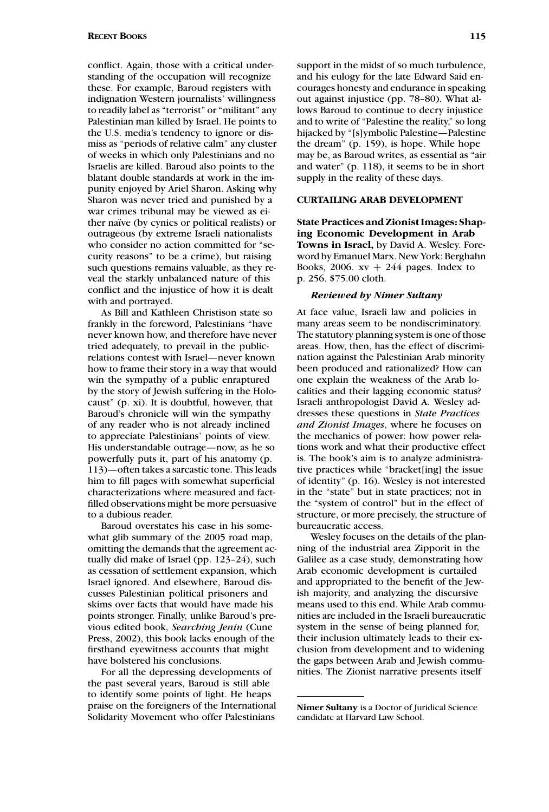conflict. Again, those with a critical understanding of the occupation will recognize these. For example, Baroud registers with indignation Western journalists' willingness to readily label as "terrorist" or "militant" any Palestinian man killed by Israel. He points to the U.S. media's tendency to ignore or dismiss as "periods of relative calm" any cluster of weeks in which only Palestinians and no Israelis are killed. Baroud also points to the blatant double standards at work in the impunity enjoyed by Ariel Sharon. Asking why Sharon was never tried and punished by a war crimes tribunal may be viewed as either naïve (by cynics or political realists) or outrageous (by extreme Israeli nationalists who consider no action committed for "security reasons" to be a crime), but raising such questions remains valuable, as they reveal the starkly unbalanced nature of this conflict and the injustice of how it is dealt with and portrayed.

As Bill and Kathleen Christison state so frankly in the foreword, Palestinians "have never known how, and therefore have never tried adequately, to prevail in the publicrelations contest with Israel—never known how to frame their story in a way that would win the sympathy of a public enraptured by the story of Jewish suffering in the Holocaust" (p. xi). It is doubtful, however, that Baroud's chronicle will win the sympathy of any reader who is not already inclined to appreciate Palestinians' points of view. His understandable outrage—now, as he so powerfully puts it, part of his anatomy (p. 113)—often takes a sarcastic tone. This leads him to fill pages with somewhat superficial characterizations where measured and factfilled observations might be more persuasive to a dubious reader.

Baroud overstates his case in his somewhat glib summary of the 2005 road map, omitting the demands that the agreement actually did make of Israel (pp. 123–24), such as cessation of settlement expansion, which Israel ignored. And elsewhere, Baroud discusses Palestinian political prisoners and skims over facts that would have made his points stronger. Finally, unlike Baroud's previous edited book, *Searching Jenin* (Cune Press, 2002), this book lacks enough of the firsthand eyewitness accounts that might have bolstered his conclusions.

For all the depressing developments of the past several years, Baroud is still able to identify some points of light. He heaps praise on the foreigners of the International Solidarity Movement who offer Palestinians

support in the midst of so much turbulence, and his eulogy for the late Edward Said encourages honesty and endurance in speaking out against injustice (pp. 78–80). What allows Baroud to continue to decry injustice and to write of "Palestine the reality," so long hijacked by "[s]ymbolic Palestine—Palestine the dream" (p. 159), is hope. While hope may be, as Baroud writes, as essential as "air and water" (p. 118), it seems to be in short supply in the reality of these days.

## **CURTAILING ARAB DEVELOPMENT**

**State Practices and Zionist Images: Shaping Economic Development in Arab Towns in Israel,** by David A. Wesley. Foreword by Emanuel Marx. New York: Berghahn Books, 2006.  $xy + 244$  pages. Index to p. 256. \$75.00 cloth.

## *Reviewed by Nimer Sultany*

At face value, Israeli law and policies in many areas seem to be nondiscriminatory. The statutory planning system is one of those areas. How, then, has the effect of discrimination against the Palestinian Arab minority been produced and rationalized? How can one explain the weakness of the Arab localities and their lagging economic status? Israeli anthropologist David A. Wesley addresses these questions in *State Practices and Zionist Images*, where he focuses on the mechanics of power: how power relations work and what their productive effect is. The book's aim is to analyze administrative practices while "bracket[ing] the issue of identity" (p. 16). Wesley is not interested in the "state" but in state practices; not in the "system of control" but in the effect of structure, or more precisely, the structure of bureaucratic access.

Wesley focuses on the details of the planning of the industrial area Zipporit in the Galilee as a case study, demonstrating how Arab economic development is curtailed and appropriated to the benefit of the Jewish majority, and analyzing the discursive means used to this end. While Arab communities are included in the Israeli bureaucratic system in the sense of being planned for, their inclusion ultimately leads to their exclusion from development and to widening the gaps between Arab and Jewish communities. The Zionist narrative presents itself

**Nimer Sultany** is a Doctor of Juridical Science candidate at Harvard Law School.